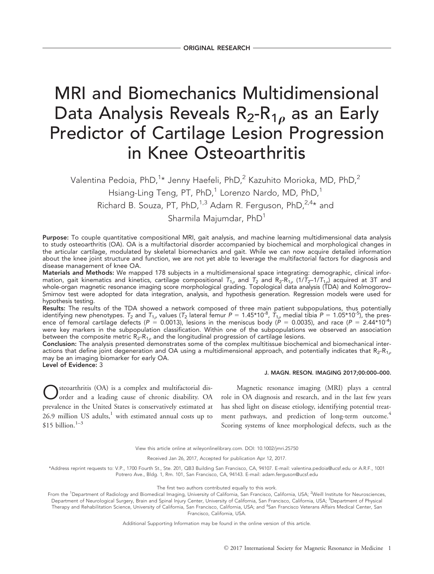# MRI and Biomechanics Multidimensional Data Analysis Reveals  $R_2-R_{1\rho}$  as an Early Predictor of Cartilage Lesion Progression in Knee Osteoarthritis

Valentina Pedoia, PhD, $^1\star$  Jenny Haefeli, PhD, $^2$  Kazuhito Morioka, MD, PhD, $^2$ Hsiang-Ling Teng, PT, PhD,<sup>1</sup> Lorenzo Nardo, MD, PhD,<sup>1</sup> Richard B. Souza, PT, PhD,<sup>1,3</sup> Adam R. Ferguson, PhD,<sup>2,4\*</sup> and Sharmila Majumdar, PhD<sup>1</sup>

Purpose: To couple quantitative compositional MRI, gait analysis, and machine learning multidimensional data analysis to study osteoarthritis (OA). OA is a multifactorial disorder accompanied by biochemical and morphological changes in the articular cartilage, modulated by skeletal biomechanics and gait. While we can now acquire detailed information about the knee joint structure and function, we are not yet able to leverage the multifactorial factors for diagnosis and disease management of knee OA.

Materials and Methods: We mapped 178 subjects in a multidimensional space integrating: demographic, clinical information, gait kinematics and kinetics, cartilage compositional  $T_{1\rho}$  and  $T_2$  and  $R_2-R_{1\rho}$  (1/ $T_2$ –1/ $T_{1\rho}$ ) acquired at 3T and whole-organ magnetic resonance imaging score morphological grading. Topological data analysis (TDA) and Kolmogorov– Smirnov test were adopted for data integration, analysis, and hypothesis generation. Regression models were used for hypothesis testing.

Results: The results of the TDA showed a network composed of three main patient subpopulations, thus potentially identifying new phenotypes.  $T_2$  and  $T_{1\rho}$  values ( $T_2$  lateral femur  $P=$  1.45\*10<sup>-8</sup>,  $T_{1\rho}$  medial tibia  $P=$  1.05\*10<sup>-5</sup>), the presence of femoral cartilage defects (P = 0.0013), lesions in the meniscus body (P = 0.0035), and race (P = 2.44\*10<sup>-4</sup>) were key markers in the subpopulation classification. Within one of the subpopulations we observed an association between the composite metric  $R_2-R_{1\rho}$  and the longitudinal progression of cartilage lesions.

Conclusion: The analysis presented demonstrates some of the complex multitissue biochemical and biomechanical interactions that define joint degeneration and OA using a multidimensional approach, and potentially indicates that  $R_2-R_{1q}$ may be an imaging biomarker for early OA.

Level of Evidence: 3

#### J. MAGN. RESON. IMAGING 2017;00:000–000.

Osteoarthritis (OA) is a complex and multifactorial disorder and a leading cause of chronic disability. OA prevalence in the United States is conservatively estimated at  $26.9$  million US adults, $<sup>1</sup>$  with estimated annual costs up to</sup>  $$15$  billion.<sup>1-3</sup>

Magnetic resonance imaging (MRI) plays a central role in OA diagnosis and research, and in the last few years has shed light on disease etiology, identifying potential treatment pathways, and prediction of long-term outcome.<sup>4</sup> Scoring systems of knee morphological defects, such as the

View this article online at wileyonlinelibrary.com. DOI: 10.1002/jmri.25750

Received Jan 26, 2017, Accepted for publication Apr 12, 2017.

\*Address reprint requests to: V.P., 1700 Fourth St., Ste. 201, QB3 Building San Francisco, CA, 94107. E-mail: valentina.pedoia@ucsf.edu or A.R.F., 1001 Potrero Ave., Bldg. 1, Rm. 101, San Francisco, CA, 94143. E-mail: adam.ferguson@ucsf.edu

The first two authors contributed equally to this work.

From the <sup>1</sup>Department of Radiology and Biomedical Imaging, University of California, San Francisco, California, USA; <sup>2</sup>Weill Institute for Neurosciences, Department of Neurological Surgery, Brain and Spinal Injury Center, University of California, San Francisco, California, USA; <sup>3</sup>Department of Physical Therapy and Rehabilitation Science, University of California, San Francisco, California, USA; and <sup>4</sup>San Francisco Veterans Affairs Medical Center, San Francisco, California, USA.

Additional Supporting Information may be found in the online version of this article.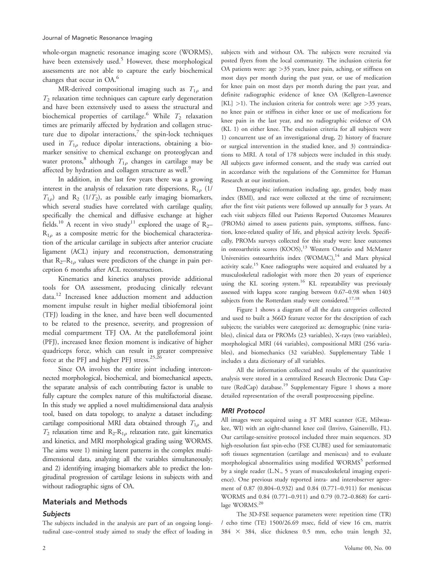whole-organ magnetic resonance imaging score (WORMS), have been extensively used. $5$  However, these morphological assessments are not able to capture the early biochemical changes that occur in OA.<sup>6</sup>

MR-derived compositional imaging such as  $T_{1\rho}$  and  $T_2$  relaxation time techniques can capture early degeneration and have been extensively used to assess the structural and biochemical properties of cartilage.<sup>6</sup> While  $T_2$  relaxation times are primarily affected by hydration and collagen structure due to dipolar interactions, $7$  the spin-lock techniques used in  $T_{1\rho}$  reduce dipolar interactions, obtaining a biomarker sensitive to chemical exchange on proteoglycan and water protons,<sup>8</sup> although  $T_{1\rho}$  changes in cartilage may be affected by hydration and collagen structure as well.<sup>9</sup>

In addition, in the last few years there was a growing interest in the analysis of relaxation rate dispersions,  $R_{1\rho}$  (1/  $T_{1\rho}$ ) and R<sub>2</sub> (1/T<sub>2</sub>), as possible early imaging biomarkers, which several studies have correlated with cartilage quality, specifically the chemical and diffusive exchange at higher fields.<sup>10</sup> A recent in vivo study<sup>11</sup> explored the usage of  $R_2$ - $R_{1\rho}$  as a composite metric for the biochemical characterization of the articular cartilage in subjects after anterior cruciate ligament (ACL) injury and reconstruction, demonstrating that  $R_2-R_{1\rho}$  values were predictors of the change in pain perception 6 months after ACL reconstruction.

Kinematics and kinetics analyses provide additional tools for OA assessment, producing clinically relevant data.12 Increased knee adduction moment and adduction moment impulse result in higher medial tibiofemoral joint (TFJ) loading in the knee, and have been well documented to be related to the presence, severity, and progression of medial compartment TFJ OA. At the patellofemoral joint (PFJ), increased knee flexion moment is indicative of higher quadriceps force, which can result in greater compressive force at the PFJ and higher PFJ stress.<sup>25,26</sup>

Since OA involves the entire joint including interconnected morphological, biochemical, and biomechanical aspects, the separate analysis of each contributing factor is unable to fully capture the complex nature of this multifactorial disease. In this study we applied a novel multidimensional data analysis tool, based on data topology, to analyze a dataset including: cartilage compositional MRI data obtained through  $T_{1\rho}$  and  $T_2$  relaxation time and  $R_2-R_{1\rho}$  relaxation rate, gait kinematics and kinetics, and MRI morphological grading using WORMS. The aims were 1) mining latent patterns in the complex multidimensional data, analyzing all the variables simultaneously; and 2) identifying imaging biomarkers able to predict the longitudinal progression of cartilage lesions in subjects with and without radiographic signs of OA.

# Materials and Methods

# Subjects

The subjects included in the analysis are part of an ongoing longitudinal case–control study aimed to study the effect of loading in

subjects with and without OA. The subjects were recruited via posted flyers from the local community. The inclusion criteria for OA patients were: age  $>35$  years, knee pain, aching, or stiffness on most days per month during the past year, or use of medication for knee pain on most days per month during the past year, and definite radiographic evidence of knee OA (Kellgren–Lawrence  $[KL] > 1$ ). The inclusion criteria for controls were: age  $> 35$  years, no knee pain or stiffness in either knee or use of medications for knee pain in the last year, and no radiographic evidence of OA (KL 1) on either knee. The exclusion criteria for all subjects were 1) concurrent use of an investigational drug, 2) history of fracture or surgical intervention in the studied knee, and 3) contraindications to MRI. A total of 178 subjects were included in this study. All subjects gave informed consent, and the study was carried out in accordance with the regulations of the Committee for Human Research at our institution.

Demographic information including age, gender, body mass index (BMI), and race were collected at the time of recruitment; after the first visit patients were followed up annually for 3 years. At each visit subjects filled out Patients Reported Outcomes Measures (PROMs) aimed to assess patients pain, symptoms, stiffness, function, knee-related quality of life, and physical activity levels. Specifically, PROMs surveys collected for this study were: knee outcomes in osteoarthritis scores (KOOS),<sup>13</sup> Western Ontario and McMaster Universities osteoarthritis index (WOMAC),<sup>14</sup> and Marx physical activity scale.<sup>15</sup> Knee radiographs were acquired and evaluated by a musculoskeletal radiologist with more then 20 years of experience using the KL scoring system.<sup>16</sup> KL repeatability was previously assessed with kappa score ranging between 0.67–0.98 when 1403 subjects from the Rotterdam study were considered.<sup>17,18</sup>

Figure 1 shows a diagram of all the data categories collected and used to built a 366D feature vector for the description of each subjects; the variables were categorized as: demographic (nine variables), clinical data or PROMs (23 variables), X-rays (two variables), morphological MRI (44 variables), compositional MRI (256 variables), and biomechanics (32 variables). Supplementary Table 1 includes a data dictionary of all variables.

All the information collected and results of the quantitative analysis were stored in a centralized Research Electronic Data Capture (RedCap) database.<sup>19</sup> Supplementary Figure 1 shows a more detailed representation of the overall postprocessing pipeline.

# MRI Protocol

All images were acquired using a 3T MRI scanner (GE, Milwaukee, WI) with an eight-channel knee coil (Invivo, Gainesville, FL). Our cartilage-sensitive protocol included three main sequences. 3D high-resolution fast spin-echo (FSE CUBE) used for semiautomatic soft tissues segmentation (cartilage and meniscus) and to evaluate morphological abnormalities using modified WORMS<sup>5</sup> performed by a single reader (L.N., 5 years of musculoskeletal imaging experience). One previous study reported intra- and interobserver agreement of 0.87 (0.804–0.932) and 0.84 (0.771–0.911) for meniscus WORMS and 0.84 (0.771–0.911) and 0.79 (0.72–0.868) for cartilage WORMS.<sup>20</sup>

The 3D-FSE sequence parameters were: repetition time (TR) / echo time (TE) 1500/26.69 msec, field of view 16 cm, matrix  $384 \times 384$ , slice thickness 0.5 mm, echo train length 32,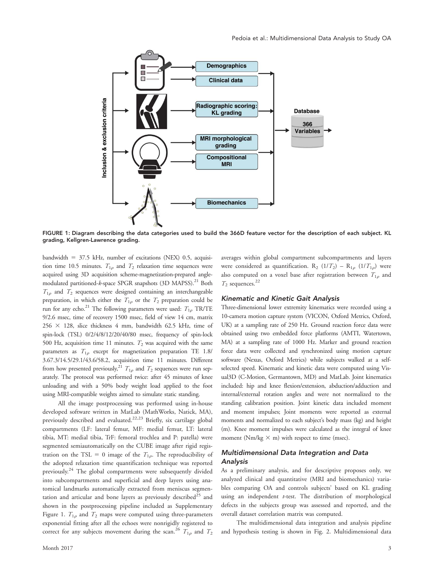

FIGURE 1: Diagram describing the data categories used to build the 366D feature vector for the description of each subject. KL grading, Kellgren-Lawrence grading.

bandwidth  $= 37.5$  kHz, number of excitations (NEX) 0.5, acquisition time 10.5 minutes.  $T_{1\rho}$  and  $T_2$  relaxation time sequences were acquired using 3D acquisition scheme-magnetization-prepared anglemodulated partitioned-k-space SPGR snapshots (3D MAPSS).<sup>21</sup> Both  $T_{1\rho}$  and  $T_2$  sequences were designed containing an interchangeable preparation, in which either the  $T_{1\rho}$  or the  $T_2$  preparation could be run for any echo.<sup>21</sup> The following parameters were used:  $T_{1\rho}$  TR/TE 9/2.6 msec, time of recovery 1500 msec, field of view 14 cm, matrix  $256 \times 128$ , slice thickness 4 mm, bandwidth 62.5 kHz, time of spin-lock (TSL) 0/2/4/8/12/20/40/80 msec, frequency of spin-lock 500 Hz, acquisition time 11 minutes.  $T_2$  was acquired with the same parameters as  $T_{1\rho}$  except for magnetization preparation TE 1.8/ 3.67.3/14.5/29.1/43.6/58.2, acquisition time 11 minutes. Different from how presented previously,<sup>21</sup>  $T_{1\rho}$  and  $T_2$  sequences were run separately. The protocol was performed twice: after 45 minutes of knee unloading and with a 50% body weight load applied to the foot using MRI-compatible weights aimed to simulate static standing.

All the image postprocessing was performed using in-house developed software written in MatLab (MathWorks, Natick, MA), previously described and evaluated.<sup>22,23</sup> Briefly, six cartilage global compartments (LF: lateral femur, MF: medial femur, LT: lateral tibia, MT: medial tibia, TrF: femoral trochlea and P: patella) were segmented semiautomatically on the CUBE image after rigid registration on the TSL = 0 image of the  $T_{1\rho}$ . The reproducibility of the adopted relaxation time quantification technique was reported previously.24 The global compartments were subsequently divided into subcompartments and superficial and deep layers using anatomical landmarks automatically extracted from meniscus segmentation and articular and bone layers as previously described $25$  and shown in the postprocessing pipeline included as Supplementary Figure 1.  $T_{1\rho}$  and  $T_2$  maps were computed using three-parameters exponential fitting after all the echoes were nonrigidly registered to correct for any subjects movement during the scan.<sup>26</sup>  $T_{1\rho}$  and  $T_2$  averages within global compartment subcompartments and layers were considered as quantification. R<sub>2</sub> (1/T<sub>2</sub>) – R<sub>1p</sub> (1/T<sub>1p</sub>) were also computed on a voxel base after registration between  $T_{1\rho}$  and  $T_2$  sequences.<sup>22</sup>

### Kinematic and Kinetic Gait Analysis

Three-dimensional lower extremity kinematics were recorded using a 10-camera motion capture system (VICON, Oxford Metrics, Oxford, UK) at a sampling rate of 250 Hz. Ground reaction force data were obtained using two embedded force platforms (AMTI, Watertown, MA) at a sampling rate of 1000 Hz. Marker and ground reaction force data were collected and synchronized using motion capture software (Nexus, Oxford Metrics) while subjects walked at a selfselected speed. Kinematic and kinetic data were computed using Visual3D (C-Motion, Germantown, MD) and MatLab. Joint kinematics included: hip and knee flexion/extension, abduction/adduction and internal/external rotation angles and were not normalized to the standing calibration position. Joint kinetic data included moment and moment impulses; Joint moments were reported as external moments and normalized to each subject's body mass (kg) and height (m). Knee moment impulses were calculated as the integral of knee moment ( $Nm/kg \times m$ ) with respect to time (msec).

# Multidimensional Data Integration and Data Analysis

As a preliminary analysis, and for descriptive proposes only, we analyzed clinical and quantitative (MRI and biomechanics) variables comparing OA and controls subjects' based on KL grading using an independent  $t$ -test. The distribution of morphological defects in the subjects group was assessed and reported, and the overall dataset correlation matrix was computed.

The multidimensional data integration and analysis pipeline and hypothesis testing is shown in Fig. 2. Multidimensional data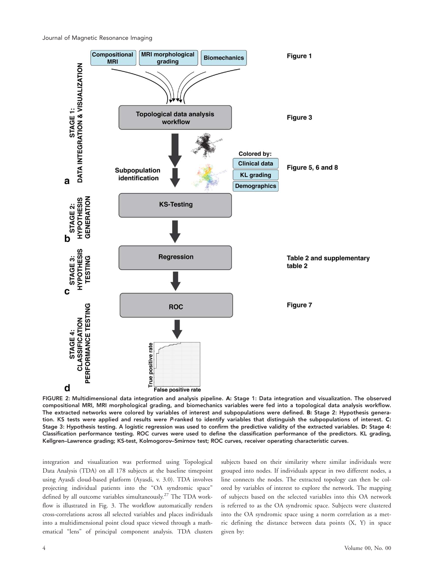Journal of Magnetic Resonance Imaging



FIGURE 2: Multidimensional data integration and analysis pipeline. A: Stage 1: Data integration and visualization. The observed compositional MRI, MRI morphological grading, and biomechanics variables were fed into a topological data analysis workflow. The extracted networks were colored by variables of interest and subpopulations were defined. B: Stage 2: Hypothesis generation. KS tests were applied and results were P-ranked to identify variables that distinguish the subpopulations of interest. C: Stage 3: Hypothesis testing. A logistic regression was used to confirm the predictive validity of the extracted variables. D: Stage 4: Classification performance testing. ROC curves were used to define the classification performance of the predictors. KL grading, Kellgren–Lawrence grading; KS-test, Kolmogorov–Smirnov test; ROC curves, receiver operating characteristic curves.

integration and visualization was performed using Topological Data Analysis (TDA) on all 178 subjects at the baseline timepoint using Ayasdi cloud-based platform (Ayasdi, v. 3.0). TDA involves projecting individual patients into the "OA syndromic space" defined by all outcome variables simultaneously.<sup>27</sup> The TDA workflow is illustrated in Fig. 3. The workflow automatically renders cross-correlations across all selected variables and places individuals into a multidimensional point cloud space viewed through a mathematical "lens" of principal component analysis. TDA clusters

subjects based on their similarity where similar individuals were grouped into nodes. If individuals appear in two different nodes, a line connects the nodes. The extracted topology can then be colored by variables of interest to explore the network. The mapping of subjects based on the selected variables into this OA network is referred to as the OA syndromic space. Subjects were clustered into the OA syndromic space using a norm correlation as a metric defining the distance between data points (X, Y) in space given by: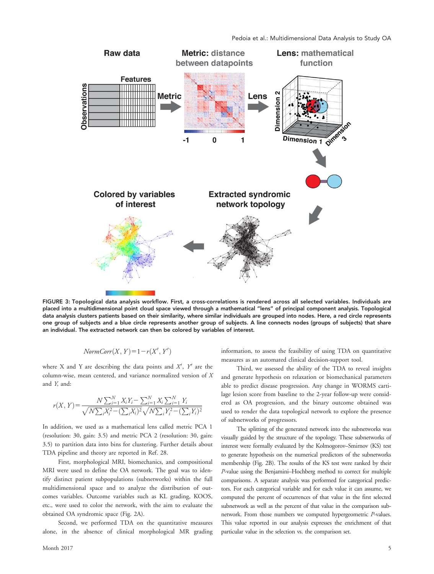

FIGURE 3: Topological data analysis workflow. First, a cross-correlations is rendered across all selected variables. Individuals are placed into a multidimensional point cloud space viewed through a mathematical "lens" of principal component analysis. Topological data analysis clusters patients based on their similarity, where similar individuals are grouped into nodes. Here, a red circle represents one group of subjects and a blue circle represents another group of subjects. A line connects nodes (groups of subjects) that share an individual. The extracted network can then be colored by variables of interest.

$$
NormCorr(X, Y) = 1 - r(X', Y')
$$

where X and Y are describing the data points and  $X'$ ,  $Y'$  are the column-wise, mean centered, and variance normalized version of X and Y, and:

$$
r(X, Y) = \frac{N \sum_{i=1}^{N} X_i Y_i - \sum_{i=1}^{N} X_i \sum_{i=1}^{N} Y_i}{\sqrt{N \sum_{i} X_i^2 - (\sum_{i} X_i)^2} \sqrt{N \sum_{i} Y_i^2 - (\sum_{i} Y_i)^2}}
$$

In addition, we used as a mathematical lens called metric PCA 1 (resolution: 30, gain: 3.5) and metric PCA 2 (resolution: 30, gain: 3.5) to partition data into bins for clustering. Further details about TDA pipeline and theory are reported in Ref. 28.

First, morphological MRI, biomechanics, and compositional MRI were used to define the OA network. The goal was to identify distinct patient subpopulations (subnetworks) within the full multidimensional space and to analyze the distribution of outcomes variables. Outcome variables such as KL grading, KOOS, etc., were used to color the network, with the aim to evaluate the obtained OA syndromic space (Fig. 2A).

Second, we performed TDA on the quantitative measures alone, in the absence of clinical morphological MR grading information, to assess the feasibility of using TDA on quantitative measures as an automated clinical decision-support tool.

Third, we assessed the ability of the TDA to reveal insights and generate hypothesis on relaxation or biomechanical parameters able to predict disease progression. Any change in WORMS cartilage lesion score from baseline to the 2-year follow-up were considered as OA progression, and the binary outcome obtained was used to render the data topological network to explore the presence of subnetworks of progressors.

The splitting of the generated network into the subnetworks was visually guided by the structure of the topology. These subnetworks of interest were formally evaluated by the Kolmogorov–Smirnov (KS) test to generate hypothesis on the numerical predictors of the subnetworks membership (Fig. 2B). The results of the KS test were ranked by their P-value using the Benjamini–Hochberg method to correct for multiple comparisons. A separate analysis was performed for categorical predictors. For each categorical variable and for each value it can assume, we computed the percent of occurrences of that value in the first selected subnetwork as well as the percent of that value in the comparison subnetwork. From those numbers we computed hypergeometric P-values. This value reported in our analysis expresses the enrichment of that particular value in the selection vs. the comparison set.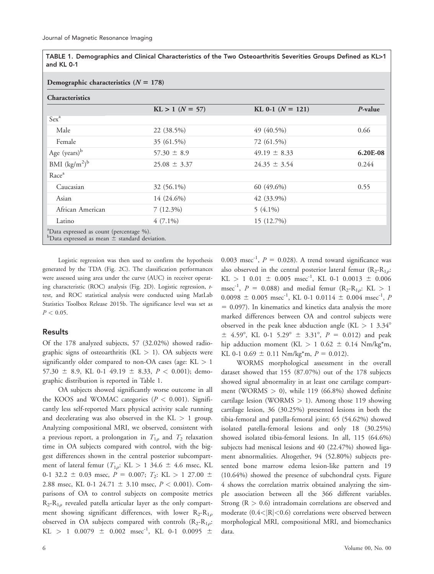|            | TABLE 1. Demographics and Clinical Characteristics of the Two Osteoarthritis Severities Groups Defined as KL>1 |  |  |  |
|------------|----------------------------------------------------------------------------------------------------------------|--|--|--|
| and KL 0-1 |                                                                                                                |  |  |  |

#### Demographic characteristics  $(N = 178)$

| <b>Characteristics</b>                                                                                       |                       |                    |          |  |  |
|--------------------------------------------------------------------------------------------------------------|-----------------------|--------------------|----------|--|--|
|                                                                                                              | $KL > 1$ ( $N = 57$ ) | KL 0-1 $(N = 121)$ | P-value  |  |  |
| Sex <sup>a</sup>                                                                                             |                       |                    |          |  |  |
| Male                                                                                                         | 22 (38.5%)            | 49 (40.5%)         | 0.66     |  |  |
| Female                                                                                                       | 35 (61.5%)            | 72 (61.5%)         |          |  |  |
| Age $(years)^{b}$                                                                                            | $57.30 \pm 8.9$       | $49.19 \pm 8.33$   | 6.20E-08 |  |  |
| BMI $(kg/m^2)^b$                                                                                             | $25.08 \pm 3.37$      | $24.35 \pm 3.54$   | 0.244    |  |  |
| Race <sup>a</sup>                                                                                            |                       |                    |          |  |  |
| Caucasian                                                                                                    | 32 (56.1%)            | 60 (49.6%)         | 0.55     |  |  |
| Asian                                                                                                        | 14 (24.6%)            | 42 (33.9%)         |          |  |  |
| African American                                                                                             | $7(12.3\%)$           | $5(4.1\%)$         |          |  |  |
| Latino                                                                                                       | $4(7.1\%)$            | 15 (12.7%)         |          |  |  |
| <sup>a</sup> Data expressed as count (percentage %).<br>$b$ Data expressed as mean $\pm$ standard deviation. |                       |                    |          |  |  |

Logistic regression was then used to confirm the hypothesis generated by the TDA (Fig. 2C). The classification performances were assessed using area under the curve (AUC) in receiver operating characteristic (ROC) analysis (Fig. 2D). Logistic regression, ttest, and ROC statistical analysis were conducted using MatLab Statistics Toolbox Release 2015b. The significance level was set as  $P < 0.05$ .

# Results

Of the 178 analyzed subjects, 57 (32.02%) showed radiographic signs of osteoarthritis ( $KL > 1$ ). OA subjects were significantly older compared to non-OA cases (age:  $KL > 1$ 57.30  $\pm$  8.9, KL 0-1 49.19  $\pm$  8.33,  $P < 0.001$ ); demographic distribution is reported in Table 1.

OA subjects showed significantly worse outcome in all the KOOS and WOMAC categories ( $P < 0.001$ ). Significantly less self-reported Marx physical activity scale running and decelerating was also observed in the  $KL > 1$  group. Analyzing compositional MRI, we observed, consistent with a previous report, a prolongation in  $T_{1\rho}$  and  $T_2$  relaxation time in OA subjects compared with control, with the biggest differences shown in the central posterior subcompartment of lateral femur  $(T_{1\rho}: KL > 1 \, 34.6 \pm 4.6 \, \text{msec}, KL)$ 0-1 32.2  $\pm$  0.03 msec,  $P = 0.007$ ;  $T_2$ : KL  $> 1$  27.00  $\pm$ 2.88 msec, KL 0-1 24.71  $\pm$  3.10 msec,  $P < 0.001$ ). Comparisons of OA to control subjects on composite metrics  $R_2-R_{1\rho}$  revealed patella articular layer as the only compartment showing significant differences, with lower  $R_2-R_{1\rho}$ observed in OA subjects compared with controls  $(R_2-R_{1\rho}$ :  $KL$  > 1 0.0079  $\pm$  0.002 msec<sup>-1</sup>, KL 0-1 0.0095  $\pm$ 

0.003 msec<sup>-1</sup>,  $P = 0.028$ ). A trend toward significance was also observed in the central posterior lateral femur  $(R_2-R_{10})$ :  $KL > 1$  0.01  $\pm$  0.005 msec<sup>-1</sup>, KL 0-1 0.0013  $\pm$  0.006 msec<sup>-1</sup>,  $P = 0.088$ ) and medial femur (R<sub>2</sub>-R<sub>1*o*</sub>: KL > 1  $0.0098 \pm 0.005$  msec<sup>-1</sup>, KL 0-1 0.0114  $\pm$  0.004 msec<sup>-1</sup>, P  $= 0.097$ ). In kinematics and kinetics data analysis the more marked differences between OA and control subjects were observed in the peak knee abduction angle (KL  $> 1$  3.34°  $\pm$  4.59°, KL 0-1 5.29°  $\pm$  3.31°, P = 0.012) and peak hip adduction moment (KL  $> 1$  0.62  $\pm$  0.14 Nm/kg\*m, KL 0-1 0.69  $\pm$  0.11 Nm/kg<sup>\*</sup>m,  $P = 0.012$ ).

WORMS morphological assessment in the overall dataset showed that 155 (87.07%) out of the 178 subjects showed signal abnormality in at least one cartilage compartment (WORMS  $> 0$ ), while 119 (66.8%) showed definite cartilage lesion (WORMS  $> 1$ ). Among those 119 showing cartilage lesion, 36 (30.25%) presented lesions in both the tibia-femoral and patella-femoral joint; 65 (54.62%) showed isolated patella-femoral lesions and only 18 (30.25%) showed isolated tibia-femoral lesions. In all, 115 (64.6%) subjects had meniscal lesions and 40 (22.47%) showed ligament abnormalities. Altogether, 94 (52.80%) subjects presented bone marrow edema lesion-like pattern and 19 (10.64%) showed the presence of subchondral cysts. Figure 4 shows the correlation matrix obtained analyzing the simple association between all the 366 different variables. Strong  $(R > 0.6)$  intradomain correlations are observed and moderate  $(0.4<|R|<0.6)$  correlations were observed between morphological MRI, compositional MRI, and biomechanics data.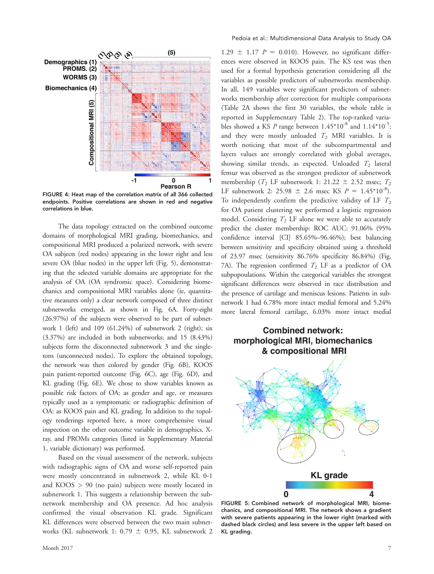

FIGURE 4: Heat map of the correlation matrix of all 366 collected endpoints. Positive correlations are shown in red and negative correlations in blue.

The data topology extracted on the combined outcome domains of morphological MRI grading, biomechanics, and compositional MRI produced a polarized network, with severe OA subjects (red nodes) appearing in the lower right and less severe OA (blue nodes) in the upper left (Fig. 5), demonstrating that the selected variable domains are appropriate for the analysis of OA (OA syndromic space). Considering biomechanics and compositional MRI variables alone (ie, quantitative measures only) a clear network composed of three distinct subnetworks emerged, as shown in Fig. 6A. Forty-eight (26.97%) of the subjects were observed to be part of subnetwork 1 (left) and 109 (61.24%) of subnetwork 2 (right); six (3.37%) are included in both subnetworks; and 15 (8.43%) subjects form the disconnected subnetwork 3 and the singletons (unconnected nodes). To explore the obtained topology, the network was then colored by gender (Fig. 6B), KOOS pain patient-reported outcome (Fig. 6C), age (Fig. 6D), and KL grading (Fig. 6E). We chose to show variables known as possible risk factors of OA: as gender and age, or measures typically used as a symptomatic or radiographic definition of OA: as KOOS pain and KL grading. In addition to the topology renderings reported here, a more comprehensive visual inspection on the other outcome variable in demographics, Xray, and PROMs categories (listed in Supplementary Material 1, variable dictionary) was performed.

Based on the visual assessment of the network, subjects with radiographic signs of OA and worse self-reported pain were mostly concentrated in subnetwork 2, while KL 0-1 and KOOS > 90 (no pain) subjects were mostly located in subnetwork 1. This suggests a relationship between the subnetwork membership and OA presence. Ad hoc analysis confirmed the visual observation KL grade. Significant KL differences were observed between the two main subnetworks (KL subnetwork 1: 0.79  $\pm$  0.95, KL subnetwork 2

1.29  $\pm$  1.17 P = 0.010). However, no significant differences were observed in KOOS pain. The KS test was then used for a formal hypothesis generation considering all the variables as possible predictors of subnetworks membership. In all, 149 variables were significant predictors of subnetworks membership after correction for multiple comparisons (Table 2A shows the first 30 variables, the whole table is reported in Supplementary Table 2). The top-ranked variables showed a KS P range between  $1.45^*10^{-8}$  and  $1.14^*10^{-5}$ ; and they were mostly unloaded  $T_2$  MRI variables. It is worth noticing that most of the subcompartmental and layers values are strongly correlated with global averages, showing similar trends, as expected. Unloaded  $T_2$  lateral femur was observed as the strongest predictor of subnetwork membership ( $T_2$  LF subnetwork 1: 21.22  $\pm$  2.52 msec;  $T_2$ LF subnetwork 2: 25.98  $\pm$  2.6 msec KS  $P = 1.45*10^{-8}$ . To independently confirm the predictive validity of LF  $T_2$ for OA patient clustering we performed a logistic regression model. Considering  $T_2$  LF alone we were able to accurately predict the cluster membership: ROC AUC: 91.06% (95% confidence interval [CI] 85.65%–96.46%); best balancing between sensitivity and specificity obtained using a threshold of 23.97 msec (sensitivity 86.76% specificity 86.84%) (Fig. 7A). The regression confirmed  $T_2$  LF as a predictor of OA subpopoulations. Within the categorical variables the strongest significant differences were observed in race distribution and the presence of cartilage and meniscus lesions. Patients in subnetwork 1 had 6.78% more intact medial femoral and 5.24% more lateral femoral cartilage, 6.03% more intact medial

# **Combined network:** morphological MRI, biomechanics & compositional MRI



FIGURE 5: Combined network of morphological MRI, biomechanics, and compositional MRI. The network shows a gradient with severe patients appearing in the lower right (marked with dashed black circles) and less severe in the upper left based on KL grading.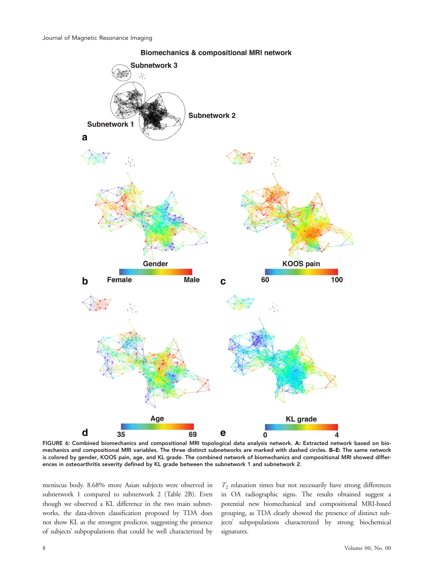

**Biomechanics & compositional MRI network** 

FIGURE 6: Combined biomechanics and compositional MRI topological data analysis network. A: Extracted network based on biomechanics and compositional MRI variables. The three distinct subnetworks are marked with dashed circles. B–E: The same network is colored by gender, KOOS pain, age, and KL grade. The combined network of biomechanics and compositional MRI showed differences in osteoarthritis severity defined by KL grade between the subnetwork 1 and subnetwork 2.

meniscus body. 8.68% more Asian subjects were observed in subnetwork 1 compared to subnetwork 2 (Table 2B). Even though we observed a KL difference in the two main subnetworks, the data-driven classification proposed by TDA does not show KL as the strongest predictor, suggesting the presence of subjects' subpopulations that could be well characterized by

 $T_2$  relaxation times but not necessarily have strong differences in OA radiographic signs. The results obtained suggest a potential new biomechanical and compositional MRI-based grouping, as TDA clearly showed the presence of distinct subjects' subpopulations characterized by strong biochemical signatures.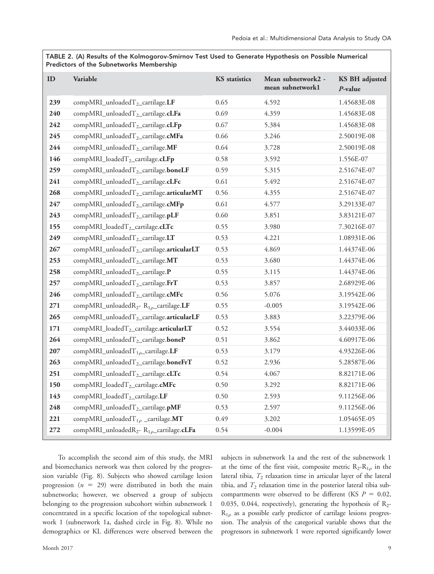TABLE 2. (A) Results of the Kolmogorov-Smirnov Test Used to Generate Hypothesis on Possible Numerical Predictors of the Subnetworks Membership

| ID  | Variable                                                           | <b>KS</b> statistics | Mean subnetwork2 -<br>mean subnetwork1 | <b>KS BH</b> adjusted<br>$P$ -value |
|-----|--------------------------------------------------------------------|----------------------|----------------------------------------|-------------------------------------|
| 239 | $compMRI_{\text{unloaded}T_2_{\text{c}}\text{artilage.}\text{LF}}$ | 0.65                 | 4.592                                  | 1.45683E-08                         |
| 240 | compMRI_unloadedT <sub>2</sub> _cartilage.cLFa                     | 0.69                 | 4.359                                  | 1.45683E-08                         |
| 242 | compMRI_unloadedT <sub>2</sub> _cartilage.cLFp                     | 0.67                 | 5.384                                  | 1.45683E-08                         |
| 245 | compMRI_unloadedT <sub>2</sub> _cartilage.cMFa                     | 0.66                 | 3.246                                  | 2.50019E-08                         |
| 244 | compMRI_unloadedT <sub>2</sub> _cartilage.MF                       | 0.64                 | 3.728                                  | 2.50019E-08                         |
| 146 | $\mathop{\mathrm{compMRI\_loadedT_{2\_cartilage.}\textbf{cLFp}}}$  | 0.58                 | 3.592                                  | 1.556E-07                           |
| 259 | compMRI_unloadedT <sub>2</sub> _cartilage.boneLF                   | 0.59                 | 5.315                                  | 2.51674E-07                         |
| 241 | compMRI_unloadedT <sub>2</sub> _cartilage.cLFc                     | 0.61                 | 5.492                                  | 2.51674E-07                         |
| 268 | compMRI_unloadedT <sub>2</sub> _cartilage.articularMT              | 0.56                 | 4.355                                  | 2.51674E-07                         |
| 247 | compMRI_unloadedT <sub>2</sub> _cartilage.cMFp                     | 0.61                 | 4.577                                  | 3.29133E-07                         |
| 243 | compMRI_unloadedT <sub>2</sub> _cartilage.pLF                      | 0.60                 | 3.851                                  | 3.83121E-07                         |
| 155 | compMRI_loadedT <sub>2</sub> _cartilage.cLTc                       | 0.55                 | 3.980                                  | 7.30216E-07                         |
| 249 | $compMRI_{unloaded}T_{2_{\text{}}\text{cartilage.}\text{LT}}$      | 0.53                 | 4.221                                  | 1.08931E-06                         |
| 267 | compMRI_unloadedT <sub>2</sub> _cartilage.articularLT              | 0.53                 | 4.869                                  | 1.44374E-06                         |
| 253 | compMRI_unloadedT <sub>2</sub> _cartilage.MT                       | 0.53                 | 3.680                                  | 1.44374E-06                         |
| 258 | compMRI_unloadedT <sub>2</sub> _cartilage.P                        | 0.55                 | 3.115                                  | 1.44374E-06                         |
| 257 | compMRI_unloadedT <sub>2</sub> _cartilage.FrT                      | 0.53                 | 3.857                                  | 2.68929E-06                         |
| 246 | compMRI_unloadedT <sub>2</sub> _cartilage.cMFc                     | 0.56                 | 5.076                                  | 3.19542E-06                         |
| 271 | compMRI_unloadedR <sub>2</sub> -R <sub>1p</sub> _cartilage.LF      | 0.55                 | $-0.005$                               | 3.19542E-06                         |
| 265 | compMRI_unloadedT <sub>2</sub> _cartilage.articularLF              | 0.53                 | 3.883                                  | 3.22379E-06                         |
| 171 | compMRI_loadedT <sub>2</sub> _cartilage.articularLT                | 0.52                 | 3.554                                  | 3.44033E-06                         |
| 264 | $compMRI_{\text{unloaded}T_{2}\text{_}cartilage}$ .boneP           | 0.51                 | 3.862                                  | 4.60917E-06                         |
| 207 | compMRI_unloadedT <sub>10</sub> _cartilage.LF                      | 0.53                 | 3.179                                  | 4.93226E-06                         |
| 263 | compMRI_unloadedT <sub>2</sub> _cartilage.boneFrT                  | 0.52                 | 2.936                                  | 5.28587E-06                         |
| 251 | compMRI_unloadedT <sub>2</sub> _cartilage.cLTc                     | 0.54                 | 4.067                                  | 8.82171E-06                         |
| 150 | compMRI_loadedT <sub>2</sub> _cartilage.cMFc                       | 0.50                 | 3.292                                  | 8.82171E-06                         |
| 143 | compMRI_loadedT <sub>2</sub> _cartilage.LF                         | 0.50                 | 2.593                                  | 9.11256E-06                         |
| 248 | compMRI_unloadedT <sub>2</sub> _cartilage.pMF                      | 0.53                 | 2.597                                  | 9.11256E-06                         |
| 221 | compMRI_unloadedT <sub>1p</sub> _cartilage.MT                      | 0.49                 | 3.202                                  | 1.05465E-05                         |
| 272 | compMRI_unloadedR <sub>2</sub> - R <sub>1p</sub> _cartilage.cLFa   | 0.54                 | $-0.004$                               | 1.13599E-05                         |

To accomplish the second aim of this study, the MRI and biomechanics network was then colored by the progression variable (Fig. 8). Subjects who showed cartilage lesion progression ( $n = 29$ ) were distributed in both the main subnetworks; however, we observed a group of subjects belonging to the progression subcohort within subnetwork 1 concentrated in a specific location of the topological subnetwork 1 (subnetwork 1a, dashed circle in Fig. 8). While no demographics or KL differences were observed between the subjects in subnetwork 1a and the rest of the subnetwork 1 at the time of the first visit, composite metric  $R_2-R_{1\rho}$  in the lateral tibia,  $T_2$  relaxation time in articular layer of the lateral tibia, and  $T_2$  relaxation time in the posterior lateral tibia subcompartments were observed to be different (KS  $P = 0.02$ , 0.035, 0.044, respectively), generating the hypothesis of  $R_2$ - $R_{1\rho}$  as a possible early predictor of cartilage lesions progression. The analysis of the categorical variable shows that the progressors in subnetwork 1 were reported significantly lower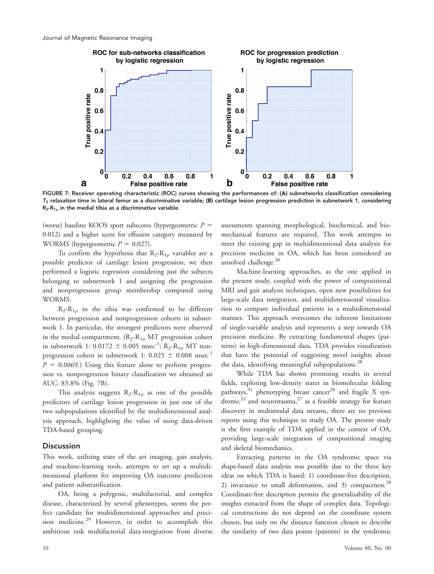

FIGURE 7: Receiver operating characteristic (ROC) curves showing the performances of: (A) subnetworks classification considering  $T_2$  relaxation time in lateral femur as a discriminative variable; (B) cartilage lesion progression prediction in subnetwork 1, considering  $R_2-R_1$ <sub> $\theta$ </sub> in the medial tibia as a discriminative variable.

(worse) baseline KOOS sport subscores (hypergeometric  $P =$ 0.012) and a higher score for effusion category measured by WORMS (hypergeometric  $P = 0.027$ ).

To confirm the hypothesis that  $R_2-R_{1\rho}$  variables are a possible predictor of cartilage lesion progression, we then performed a logistic regression considering just the subjects belonging to subnetwork 1 and assigning the progression and nonprogression group membership computed using WORMS.

 $R_2-R_{1\rho}$  in the tibia was confirmed to be different between progression and nonprogression cohorts in subnetwork 1. In particular, the strongest predictors were observed in the medial compartment.  $(R_2-R_{1\rho}MT)$  progression cohort in subnetwork 1: 0.0172  $\pm$  0.005 msec<sup>-1</sup>; R<sub>2</sub>-R<sub>1p</sub> MT nonprogression cohort in subnetwork 1:  $0.025 \pm 0.008$  msec<sup>-1</sup>  $P = 0.0069$ .) Using this feature alone to perform progression vs. nonprogression binary classification we obtained an AUC: 83.8% (Fig. 7B).

This analysis suggests  $R_2-R_{1\rho}$  as one of the possible predictors of cartilage lesion progression in just one of the two subpopulations identified by the multidimensional analysis approach, highlighting the value of using data-driven TDA-based grouping.

# **Discussion**

This work, utilizing state of the art imaging, gait analysis, and machine-learning tools, attempts to set up a multidimensional platform for improving OA outcome prediction and patient substratification.

OA, being a polygenic, multifactorial, and complex disease, characterized by several phenotypes, seems the perfect candidate for multidimensional approaches and precision medicine.<sup>29</sup> However, in order to accomplish this ambitious task multifactorial data-integration from diverse assessments spanning morphological, biochemical, and biomechanical features are required. This work attempts to meet the existing gap in multidimensional data analysis for precision medicine in OA, which has been considered an unsolved challenge.<sup>30</sup>

Machine-learning approaches, as the one applied in the present study, coupled with the power of compositional MRI and gait analysis techniques, open new possibilities for large-scale data integration, and multidimensional visualization to compare individual patients in a multidimensional manner. This approach overcomes the inherent limitations of single-variable analysis and represents a step towards OA precision medicine. By extracting fundamental shapes (patterns) in high-dimensional data, TDA provides visualization that have the potential of suggesting novel insights about the data, identifying meaningful subpopulations.<sup>28</sup>

While TDA has shown promising results in several fields, exploring low-density states in biomolecular folding pathways, $31$  phenotyping breast cancer<sup>28</sup> and fragile X syndrome, $32$  and neurotrauma, $27$  as a feasible strategy for feature discovery in multimodal data streams, there are no previous reports using this technique to study OA. The present study is the first example of TDA applied in the context of OA, providing large-scale integration of compositional imaging and skeletal biomechanics.

Extracting patterns in the OA syndromic space via shape-based data analysis was possible due to the three key ideas on which TDA is based: 1) coordinate-free description, 2) invariance to small deformation, and 3) compactness.<sup>28</sup> Coordinate-free description permits the generalizability of the insights extracted from the shape of complex data. Topological constructions do not depend on the coordinate system chosen, but only on the distance function chosen to describe the similarity of two data points (patients) in the syndromic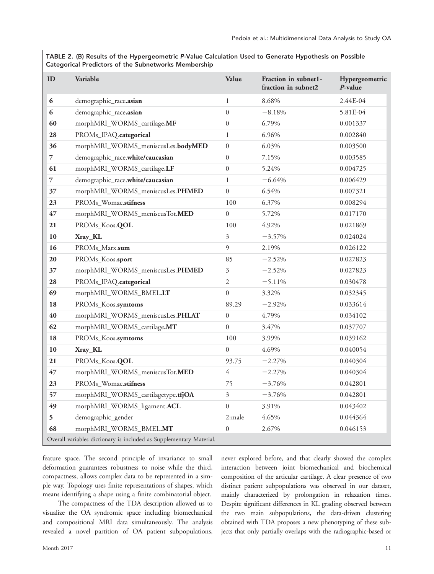TABLE 2. (B) Results of the Hypergeometric P-Value Calculation Used to Generate Hypothesis on Possible Categorical Predictors of the Subnetworks Membership

| ID                                                                  | Variable                           | Value            | Fraction in subnet1-<br>fraction in subnet2 | Hypergeometric<br>$P$ -value |  |
|---------------------------------------------------------------------|------------------------------------|------------------|---------------------------------------------|------------------------------|--|
| 6                                                                   | demographic_race.asian             | 1                | 8.68%                                       | 2.44E-04                     |  |
| 6                                                                   | demographic_race.asian             | $\boldsymbol{0}$ | $-8.18%$                                    | 5.81E-04                     |  |
| 60                                                                  | morphMRI_WORMS_cartilage.MF        | $\mathbf{0}$     | 6.79%                                       | 0.001337                     |  |
| 28                                                                  | PROMs_IPAQ.categorical             | $\mathbf{1}$     | 6.96%                                       | 0.002840                     |  |
| 36                                                                  | morphMRI_WORMS_meniscusLes.bodyMED | $\mathbf{0}$     | 6.03%                                       | 0.003500                     |  |
| 7                                                                   | demographic_race.white/caucasian   | $\boldsymbol{0}$ | 7.15%                                       | 0.003585                     |  |
| 61                                                                  | morphMRI_WORMS_cartilage.LF        | $\boldsymbol{0}$ | 5.24%                                       | 0.004725                     |  |
| $\overline{7}$                                                      | demographic_race.white/caucasian   | $\mathbf{1}$     | $-6.64%$                                    | 0.006429                     |  |
| 37                                                                  | morphMRI_WORMS_meniscusLes.PHMED   | $\mathbf{0}$     | 6.54%                                       | 0.007321                     |  |
| 23                                                                  | PROMs_Womac.stifness               | 100              | 6.37%                                       | 0.008294                     |  |
| 47                                                                  | morphMRI_WORMS_meniscusTot.MED     | $\mathbf{0}$     | 5.72%                                       | 0.017170                     |  |
| 21                                                                  | PROMs_Koos.QOL                     | 100              | 4.92%                                       | 0.021869                     |  |
| 10                                                                  | Xray_KL                            | 3                | $-3.57%$                                    | 0.024024                     |  |
| 16                                                                  | PROMs_Marx.sum                     | $\overline{9}$   | 2.19%                                       | 0.026122                     |  |
| 20                                                                  | PROMs_Koos.sport                   | 85               | $-2.52%$                                    | 0.027823                     |  |
| 37                                                                  | morphMRI_WORMS_meniscusLes.PHMED   | $\mathfrak{Z}$   | $-2.52%$                                    | 0.027823                     |  |
| 28                                                                  | PROMs_IPAQ.categorical             | $\sqrt{2}$       | $-5.11%$                                    | 0.030478                     |  |
| 69                                                                  | morphMRI_WORMS_BMEL.LT             | $\boldsymbol{0}$ | 3.32%                                       | 0.032345                     |  |
| 18                                                                  | PROMs_Koos.symtoms                 | 89.29            | $-2.92%$                                    | 0.033614                     |  |
| 40                                                                  | morphMRI_WORMS_meniscusLes.PHLAT   | $\boldsymbol{0}$ | 4.79%                                       | 0.034102                     |  |
| 62                                                                  | morphMRI_WORMS_cartilage.MT        | $\boldsymbol{0}$ | 3.47%                                       | 0.037707                     |  |
| 18                                                                  | PROMs_Koos.symtoms                 | 100              | 3.99%                                       | 0.039162                     |  |
| 10                                                                  | Xray_KL                            | $\boldsymbol{0}$ | 4.69%                                       | 0.040054                     |  |
| 21                                                                  | PROMs_Koos.QOL                     | 93.75            | $-2.27%$                                    | 0.040304                     |  |
| 47                                                                  | morphMRI_WORMS_meniscusTot.MED     | $\overline{4}$   | $-2.27%$                                    | 0.040304                     |  |
| 23                                                                  | PROMs_Womac.stifness               | 75               | $-3.76%$                                    | 0.042801                     |  |
| 57                                                                  | morphMRI_WORMS_cartilagetype.tfjOA | 3                | $-3.76%$                                    | 0.042801                     |  |
| 49                                                                  | morphMRI_WORMS_ligament.ACL        | $\boldsymbol{0}$ | 3.91%                                       | 0.043402                     |  |
| 5                                                                   | demographic_gender                 | 2:male           | 4.65%                                       | 0.044364                     |  |
| 68                                                                  | morphMRI_WORMS_BMEL.MT             | $\overline{0}$   | 2.67%                                       | 0.046153                     |  |
| Overall variables dictionary is included as Supplementary Material. |                                    |                  |                                             |                              |  |

feature space. The second principle of invariance to small deformation guarantees robustness to noise while the third, compactness, allows complex data to be represented in a simple way. Topology uses finite representations of shapes, which means identifying a shape using a finite combinatorial object.

The compactness of the TDA description allowed us to visualize the OA syndromic space including biomechanical and compositional MRI data simultaneously. The analysis revealed a novel partition of OA patient subpopulations, never explored before, and that clearly showed the complex interaction between joint biomechanical and biochemical composition of the articular cartilage. A clear presence of two distinct patient subpopulations was observed in our dataset, mainly characterized by prolongation in relaxation times. Despite significant differences in KL grading observed between the two main subpopulations, the data-driven clustering obtained with TDA proposes a new phenotyping of these subjects that only partially overlaps with the radiographic-based or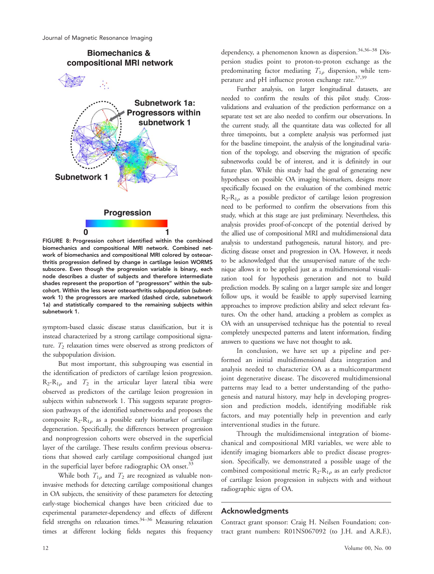

FIGURE 8: Progression cohort identified within the combined biomechanics and compositional MRI network. Combined network of biomechanics and compositional MRI colored by osteoarthritis progression defined by change in cartilage lesion WORMS subscore. Even though the progression variable is binary, each node describes a cluster of subjects and therefore intermediate shades represent the proportion of "progressors" within the subcohort. Within the less sever osteoarthritis subpopulation (subnetwork 1) the progressors are marked (dashed circle, subnetwork 1a) and statistically compared to the remaining subjects within subnetwork 1.

symptom-based classic disease status classification, but it is instead characterized by a strong cartilage compositional signature.  $T_2$  relaxation times were observed as strong predictors of the subpopulation division.

But most important, this subgrouping was essential in the identification of predictors of cartilage lesion progression.  $R_2-R_{1\rho}$  and  $T_2$  in the articular layer lateral tibia were observed as predictors of the cartilage lesion progression in subjects within subnetwork 1. This suggests separate progression pathways of the identified subnetworks and proposes the composite  $R_2-R_{1\rho}$  as a possible early biomarker of cartilage degeneration. Specifically, the differences between progression and nonprogression cohorts were observed in the superficial layer of the cartilage. These results confirm previous observations that showed early cartilage compositional changed just in the superficial layer before radiographic OA onset.<sup>33</sup>

While both  $T_{1\rho}$  and  $T_2$  are recognized as valuable noninvasive methods for detecting cartilage compositional changes in OA subjects, the sensitivity of these parameters for detecting early-stage biochemical changes have been criticized due to experimental parameter-dependency and effects of different field strengths on relaxation times.<sup>34–36</sup> Measuring relaxation times at different locking fields negates this frequency dependency, a phenomenon known as dispersion.<sup>34,36–38</sup> Dispersion studies point to proton-to-proton exchange as the predominating factor mediating  $T_{1\rho}$  dispersion, while temperature and pH influence proton exchange rate.<sup>37,39</sup>

Further analysis, on larger longitudinal datasets, are needed to confirm the results of this pilot study. Crossvalidations and evaluation of the prediction performance on a separate test set are also needed to confirm our observations. In the current study, all the quantitate data was collected for all three timepoints, but a complete analysis was performed just for the baseline timepoint, the analysis of the longitudinal variation of the topology, and observing the migration of specific subnetworks could be of interest, and it is definitely in our future plan. While this study had the goal of generating new hypotheses on possible OA imaging biomarkers, designs more specifically focused on the evaluation of the combined metric  $R_2-R_{1\rho}$  as a possible predictor of cartilage lesion progression need to be performed to confirm the observations from this study, which at this stage are just preliminary. Nevertheless, this analysis provides proof-of-concept of the potential derived by the allied use of compositional MRI and multidimensional data analysis to understand pathogenesis, natural history, and predicting disease onset and progression in OA. However, it needs to be acknowledged that the unsupervised nature of the technique allows it to be applied just as a multidimensional visualization tool for hypothesis generation and not to build prediction models. By scaling on a larger sample size and longer follow ups, it would be feasible to apply supervised learning approaches to improve prediction ability and select relevant features. On the other hand, attacking a problem as complex as OA with an unsupervised technique has the potential to reveal completely unexpected patterns and latent information, finding answers to questions we have not thought to ask.

In conclusion, we have set up a pipeline and performed an initial multidimensional data integration and analysis needed to characterize OA as a multicompartment joint degenerative disease. The discovered multidimensional patterns may lead to a better understanding of the pathogenesis and natural history, may help in developing progression and prediction models, identifying modifiable risk factors, and may potentially help in prevention and early interventional studies in the future.

Through the multidimensional integration of biomechanical and compositional MRI variables, we were able to identify imaging biomarkers able to predict disease progression. Specifically, we demonstrated a possible usage of the combined compositional metric  $R_2-R_{1\rho}$  as an early predictor of cartilage lesion progression in subjects with and without radiographic signs of OA.

# Acknowledgments

Contract grant sponsor: Craig H. Neilsen Foundation; contract grant numbers: R01NS067092 (to J.H. and A.R.F.),